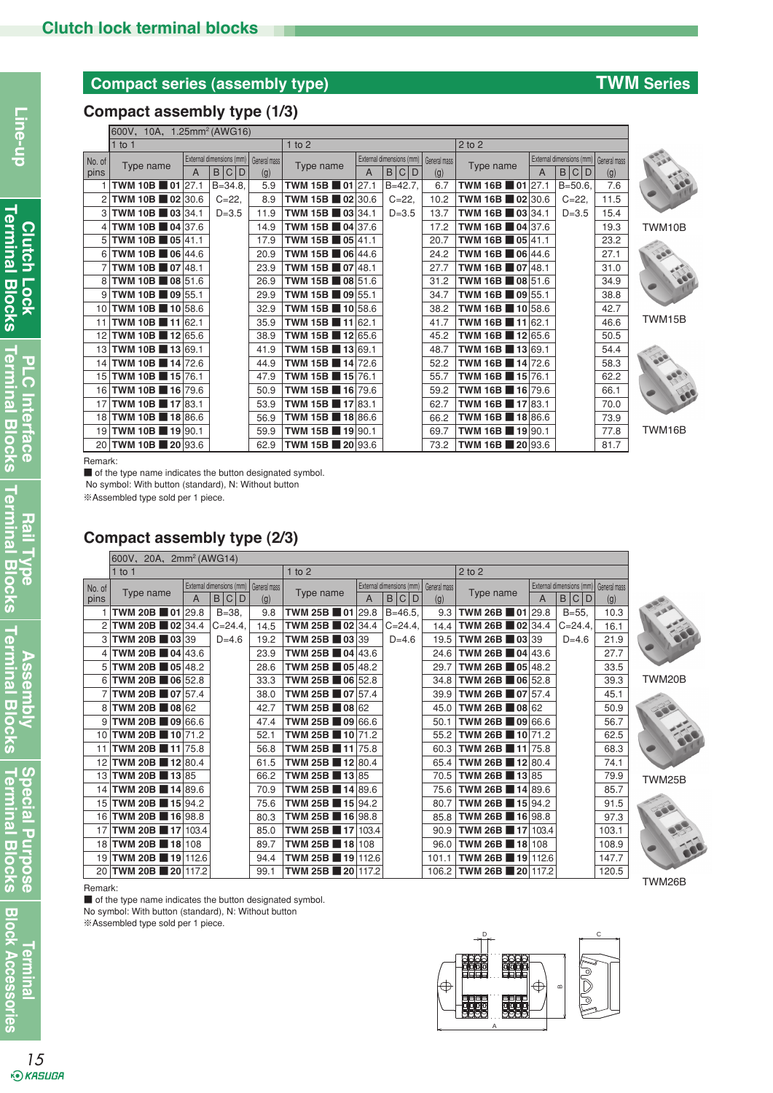# **Compact series (assembly type) TWM Series**

## **Compact assembly type (1/3)**

|        | 600V, 10A, 1.25mm <sup>2</sup> (AWG16) |                                          |            |      |                                                                                     |                                       |   |              |                                                |                                       |   |            |      |        |
|--------|----------------------------------------|------------------------------------------|------------|------|-------------------------------------------------------------------------------------|---------------------------------------|---|--------------|------------------------------------------------|---------------------------------------|---|------------|------|--------|
|        | $1$ to 1                               |                                          |            |      | $1$ to $2$                                                                          |                                       |   |              |                                                | $2$ to $2$                            |   |            |      |        |
| No. of | Type name                              | External dimensions (mm)<br>General mass |            |      | External dimensions (mm)<br>General mass<br>Type name<br>B <sub>1</sub><br> C <br>D |                                       |   | Type name    | External dimensions (mm) General mass<br>B C D |                                       |   |            |      |        |
| pins   |                                        |                                          | C D<br>B   | (g)  |                                                                                     |                                       | А |              | (g)                                            |                                       | A |            | (g)  |        |
|        | <b>TWM 10B</b> $\blacksquare$ 01 27.1  |                                          | $B = 34.8$ | 5.9  |                                                                                     | TWM 15B 01 27.1                       |   | $B = 42.7$ , | 6.7                                            | <b>TWM 16B</b> $\blacksquare$ 01 27.1 |   | $B = 50.6$ | 7.6  |        |
|        | TWM 10B 02 30.6                        |                                          | $C = 22$   | 8.9  |                                                                                     | TWM 15B $\blacksquare$ 02 30.6        |   | $C = 22$     | 10.2                                           | TWM 16B $\blacksquare$ 02 30.6        |   | $C = 22$   | 11.5 |        |
| 3      | TWM 10B 03 34.1                        |                                          | $D = 3.5$  | 11.9 |                                                                                     | TWM 15B $\Box$ 03 34.1                |   | $D = 3.5$    | 13.7                                           | TWM 16B 03 34.1                       |   | $D = 3.5$  | 15.4 |        |
| 4      | TWM 10B 04 37.6                        |                                          |            | 14.9 |                                                                                     | <b>TWM 15B</b> $\blacksquare$ 04 37.6 |   |              | 17.2                                           | <b>TWM 16B</b> $\blacksquare$ 04 37.6 |   |            | 19.3 | TWM10B |
| 5      | TWM 10B ■ 05 41.1                      |                                          |            | 17.9 |                                                                                     | <b>TWM 15B</b> $\blacksquare$ 05 41.1 |   |              | 20.7                                           | <b>TWM 16B 05 41.1</b>                |   |            | 23.2 |        |
| 6      | <b>TWM 10B 06 44.6</b>                 |                                          |            | 20.9 |                                                                                     | TWM 15B ■ 06 44.6                     |   |              | 24.2                                           | <b>TWM 16B 06 44.6</b>                |   |            | 27.1 |        |
|        | TWM 10B 07 48.1                        |                                          |            | 23.9 |                                                                                     | TWM 15B $\blacksquare$ 07 48.1        |   |              | 27.7                                           | TWM 16B ■ 07 48.1                     |   |            | 31.0 |        |
| 8      | TWM 10B ■ 08 51.6                      |                                          |            | 26.9 |                                                                                     | <b>TWM 15B 08 51.6</b>                |   |              | 31.2                                           | TWM 16B 08 51.6                       |   |            | 34.9 |        |
| 9      | TWM 10B ■ 09 55.1                      |                                          |            | 29.9 |                                                                                     | TWM 15B $\blacksquare$ 09 55.1        |   |              | 34.7                                           | TWM 16B ■ 09 55.1                     |   |            | 38.8 |        |
| 10     | TWM 10B 10 58.6                        |                                          |            | 32.9 |                                                                                     | TWM 15B 10 58.6                       |   |              | 38.2                                           | TWM 16B 10 58.6                       |   |            | 42.7 |        |
| 11     | <b>TWM 10B</b> $\blacksquare$ 11 62.1  |                                          |            | 35.9 |                                                                                     | <b>TWM 15B 11 62.1</b>                |   |              | 41.7                                           | <b>TWM 16B 11 62.1</b>                |   |            | 46.6 | TWM15B |
| 12     | TWM 10B $\blacksquare$ 12 65.6         |                                          |            | 38.9 |                                                                                     | <b>TWM 15B 12 65.6</b>                |   |              | 45.2                                           | <b>TWM 16B 12 65.6</b>                |   |            | 50.5 |        |
| 13     | <b>TWM 10B 13 69.1</b>                 |                                          |            | 41.9 |                                                                                     | TWM 15B ■ 13 69.1                     |   |              | 48.7                                           | TWM 16B 13 69.1                       |   |            | 54.4 |        |
| 14     | <b>TWM 10B 14 72.6</b>                 |                                          |            | 44.9 |                                                                                     | <b>TWM 15B 14</b> 72.6                |   |              | 52.2                                           | <b>TWM 16B 14 72.6</b>                |   |            | 58.3 |        |
| 15     | <b>TWM 10B 15 76.1</b>                 |                                          |            | 47.9 |                                                                                     | <b>TWM 15B 15</b> 15 76.1             |   |              | 55.7                                           | <b>TWM 16B 15 76.1</b>                |   |            | 62.2 |        |
| 16     | TWM 10B ■ 16 79.6                      |                                          |            | 50.9 |                                                                                     | TWM 15B ■ 16 79.6                     |   |              | 59.2                                           | TWM 16B ■ 16 79.6                     |   |            | 66.1 |        |
| 17     | TWM 10B ■ 17 83.1                      |                                          |            | 53.9 |                                                                                     | <b>TWM 15B</b> $\blacksquare$ 17 83.1 |   |              | 62.7                                           | TWM 16B ■ 17 83.1                     |   |            | 70.0 |        |
| 18     | TWM 10B 1886.6                         |                                          |            | 56.9 |                                                                                     | <b>TWM 15B</b> $\blacksquare$ 18 86.6 |   |              | 66.2                                           | <b>TWM 16B</b> 18 86.6                |   |            | 73.9 |        |
| 19     | TWM 10B 19 90.1                        |                                          |            | 59.9 |                                                                                     | TWM 15B ■ 19 90.1                     |   |              | 69.7                                           | TWM 16B 19 90.1                       |   |            | 77.8 | TWM16B |
| 20     | TWM 10B 20 93.6                        |                                          |            | 62.9 |                                                                                     | TWM 15B 20 93.6                       |   |              | 73.2                                           | <b>TWM 16B 20 93.6</b>                |   |            | 81.7 |        |

Remark:

■ of the type name indicates the button designated symbol.

No symbol: With button (standard), N: Without button

※Assembled type sold per 1 piece.

## **Compact assembly type (2/3)**

|        | 600V, 20A, 2mm <sup>2</sup> (AWG14)                |            |                                                            |      |  |                                       |                          |              |       |                                       |   |            |       |  |
|--------|----------------------------------------------------|------------|------------------------------------------------------------|------|--|---------------------------------------|--------------------------|--------------|-------|---------------------------------------|---|------------|-------|--|
|        | $1$ to 1                                           | $1$ to $2$ |                                                            |      |  |                                       | $2$ to $2$               |              |       |                                       |   |            |       |  |
| No. of | External dimensions (mm) General mass<br>Type name |            | External dimensions (mm)<br>General mass<br>Type name<br>A |      |  | Type name                             | External dimensions (mm) | General mass |       |                                       |   |            |       |  |
| pins   |                                                    | A          | B<br> C <br>D                                              | (g)  |  |                                       |                          | B C D        | (g)   |                                       | A | B C<br>D   | (g)   |  |
|        | TWM 20B $\blacksquare$ 01 29.8                     |            | $B = 38$                                                   | 9.8  |  | TWM 25B 01                            | 29.8                     | $B = 46.5,$  | 9.3   | TWM 26B $\blacksquare$ 01 29.8        |   | $B = 55.$  | 10.3  |  |
| 2      | TWM 20B $\blacksquare$ 02 34.4                     |            | $C = 24.4$                                                 | 14.5 |  | TWM 25B $\blacksquare$ 02 34.4        |                          | $C = 24.4$   | 14.4  | TWM 26B $\blacksquare$ 02 34.4        |   | $C = 24.4$ | 16.1  |  |
| 3      | TWM 20B 03 39                                      |            | $D=4.6$                                                    | 19.2 |  | TWM 25B $\blacksquare$ 03 39          |                          | $D=4.6$      | 19.5  | TWM 26B $\blacksquare$ 03 39          |   | $D=4.6$    | 21.9  |  |
| 4      | <b>TWM 20B 04 43.6</b>                             |            |                                                            | 23.9 |  | <b>TWM 25B</b> $\blacksquare$ 04 43.6 |                          |              | 24.6  | <b>TWM 26B</b> $\blacksquare$ 04 43.6 |   |            | 27.7  |  |
| 5      | TWM 20B $\blacksquare$ 05 48.2                     |            |                                                            | 28.6 |  | <b>TWM 25B</b>                        | $\blacksquare$ 05 48.2   |              | 29.7  | TWM 26B $\blacksquare$ 05 48.2        |   |            | 33.5  |  |
| 6      | TWM 20B $\blacksquare$ 06 52.8                     |            |                                                            | 33.3 |  | TWM 25B $\blacksquare$ 06 52.8        |                          |              | 34.8  | TWM 26B 06 52.8                       |   |            | 39.3  |  |
|        | TWM 20B $\blacksquare$ 07 57.4                     |            |                                                            | 38.0 |  | TWM 25B ■ 07 57.4                     |                          |              | 39.9  | TWM 26B $\blacksquare$ 07 57.4        |   |            | 45.1  |  |
| 8      | TWM 20B $\blacksquare$ 08 62                       |            |                                                            | 42.7 |  | TWM 25B $\blacksquare$ 08 62          |                          |              | 45.0  | TWM 26B $\blacksquare$ 08 62          |   |            | 50.9  |  |
| 9      | TWM 20B $\blacksquare$ 09 66.6                     |            |                                                            | 47.4 |  | TWM 25B $\blacksquare$ 09 66.6        |                          |              | 50.1  | TWM 26B 09 66.6                       |   |            | 56.7  |  |
| 10     | TWM 20B 10 71.2                                    |            |                                                            | 52.1 |  | TWM 25B 10 71.2                       |                          |              | 55.2  | TWM 26B 10 71.2                       |   |            | 62.5  |  |
| 11     | TWM 20B $\blacksquare$ 11 75.8                     |            |                                                            | 56.8 |  | TWM 25B $\blacksquare$ 11 75.8        |                          |              | 60.3  | TWM 26B $\blacksquare$ 11 75.8        |   |            | 68.3  |  |
| 12     | TWM 20B $\blacksquare$ 12 80.4                     |            |                                                            | 61.5 |  | TWM 25B 12 80.4                       |                          |              | 65.4  | TWM 26B 12 80.4                       |   |            | 74.1  |  |
| 13     | <b>TWM 20B</b> 13 85                               |            |                                                            | 66.2 |  | TWM 25B $\blacksquare$ 13 85          |                          |              | 70.5  | TWM 26B $\blacksquare$ 13 85          |   |            | 79.9  |  |
| 14     | <b>TWM 20B</b> $\blacksquare$ 14 89.6              |            |                                                            | 70.9 |  | TWM 25B $\blacksquare$ 14 89.6        |                          |              | 75.6  | <b>TWM 26B</b> $\blacksquare$ 14 89.6 |   |            | 85.7  |  |
| 15     | TWM 20B $\blacksquare$ 15 94.2                     |            |                                                            | 75.6 |  | TWM 25B 15 94.2                       |                          |              | 80.7  | TWM 26B $\blacksquare$ 15 94.2        |   |            | 91.5  |  |
| 16     | TWM 20B 16 98.8                                    |            |                                                            | 80.3 |  | TWM 25B ■ 16 98.8                     |                          |              | 85.8  | <b>TWM 26B 16 98.8</b>                |   |            | 97.3  |  |
| 17     | TWM 20B 17 103.4                                   |            |                                                            | 85.0 |  | <b>TWM 25B</b>                        | $\blacksquare$ 17 103.4  |              | 90.9  | TWM 26B 17 103.4                      |   |            | 103.1 |  |
| 18     | TWM 20B 18 108                                     |            |                                                            | 89.7 |  | TWM 25B 18 108                        |                          |              | 96.0  | TWM 26B 18 108                        |   |            | 108.9 |  |
| 19     | TWM 20B 19 112.6                                   |            |                                                            | 94.4 |  | TWM 25B $\blacksquare$ 19 112.6       |                          |              | 101.1 | TWM 26B 19 112.6                      |   |            | 147.7 |  |
| 201    | TWM 20B 20 117.2                                   |            |                                                            | 99.1 |  | TWM 25B 20 117.2                      |                          |              | 106.2 | TWM 26B 20 117.2                      |   |            | 120.5 |  |



TWM20B

TWM25B

TWM26B

#### Remark:

■ of the type name indicates the button designated symbol. No symbol: With button (standard), N: Without button

※Assembled type sold per 1 piece.

Line-up